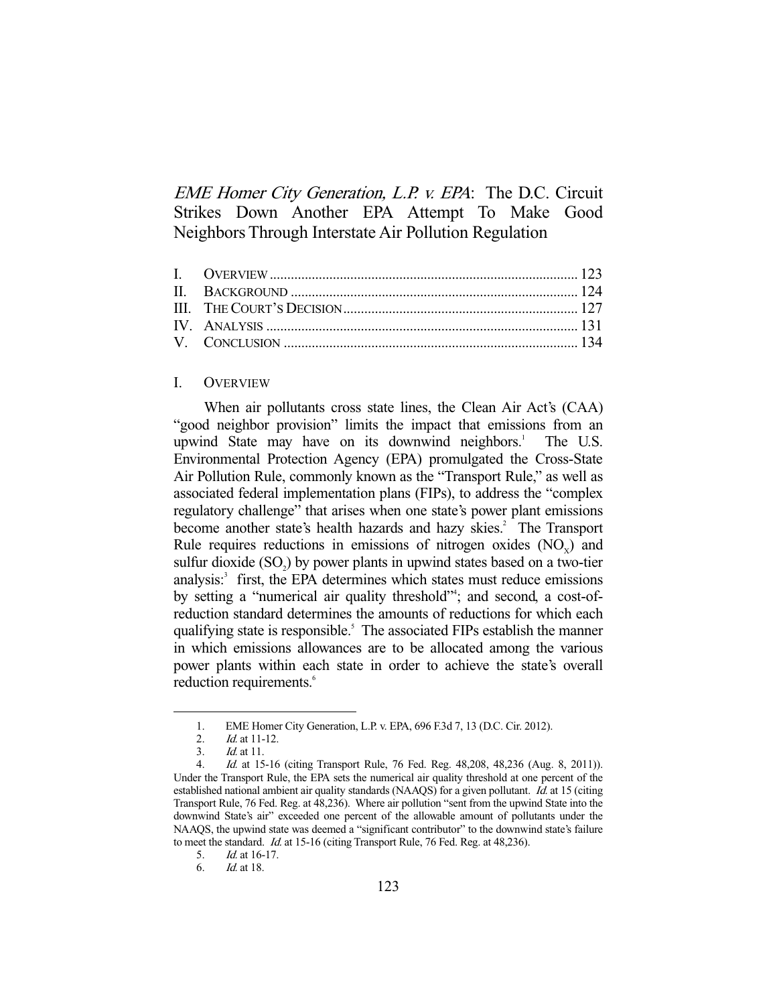EME Homer City Generation, L.P. v. EPA: The D.C. Circuit Strikes Down Another EPA Attempt To Make Good Neighbors Through Interstate Air Pollution Regulation

## I. OVERVIEW

 When air pollutants cross state lines, the Clean Air Act's (CAA) "good neighbor provision" limits the impact that emissions from an upwind State may have on its downwind neighbors.<sup>1</sup> The U.S. Environmental Protection Agency (EPA) promulgated the Cross-State Air Pollution Rule, commonly known as the "Transport Rule," as well as associated federal implementation plans (FIPs), to address the "complex regulatory challenge" that arises when one state's power plant emissions become another state's health hazards and hazy skies.<sup>2</sup> The Transport Rule requires reductions in emissions of nitrogen oxides  $(NO<sub>v</sub>)$  and sulfur dioxide  $(SO<sub>2</sub>)$  by power plants in upwind states based on a two-tier analysis:<sup>3</sup> first, the EPA determines which states must reduce emissions by setting a "numerical air quality threshold"<sup>4</sup>; and second, a cost-ofreduction standard determines the amounts of reductions for which each qualifying state is responsible.<sup>5</sup> The associated FIPs establish the manner in which emissions allowances are to be allocated among the various power plants within each state in order to achieve the state's overall reduction requirements.<sup>6</sup>

 <sup>1.</sup> EME Homer City Generation, L.P. v. EPA, 696 F.3d 7, 13 (D.C. Cir. 2012).

 <sup>2.</sup> Id. at 11-12.

 <sup>3.</sup> Id. at 11.

 <sup>4.</sup> Id. at 15-16 (citing Transport Rule, 76 Fed. Reg. 48,208, 48,236 (Aug. 8, 2011)). Under the Transport Rule, the EPA sets the numerical air quality threshold at one percent of the established national ambient air quality standards (NAAQS) for a given pollutant. Id. at 15 (citing Transport Rule, 76 Fed. Reg. at 48,236). Where air pollution "sent from the upwind State into the downwind State's air" exceeded one percent of the allowable amount of pollutants under the NAAQS, the upwind state was deemed a "significant contributor" to the downwind state's failure to meet the standard. Id. at 15-16 (citing Transport Rule, 76 Fed. Reg. at 48,236).

 <sup>5.</sup> Id. at 16-17.

 <sup>6.</sup> Id. at 18.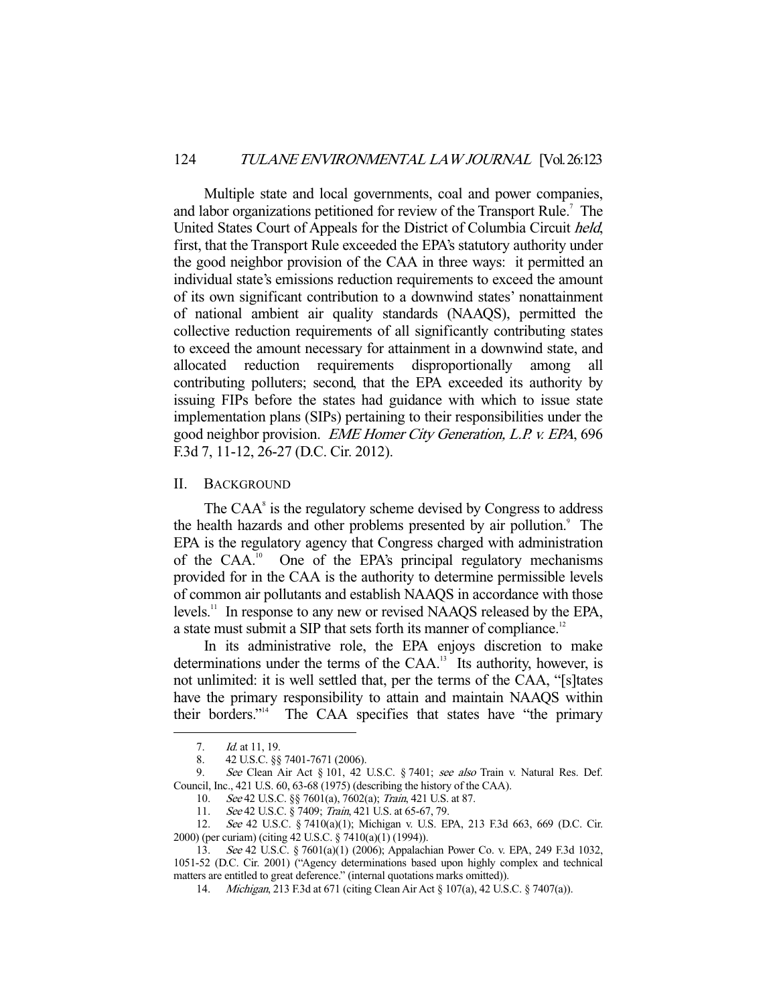Multiple state and local governments, coal and power companies, and labor organizations petitioned for review of the Transport Rule.<sup>7</sup> The United States Court of Appeals for the District of Columbia Circuit held, first, that the Transport Rule exceeded the EPA's statutory authority under the good neighbor provision of the CAA in three ways: it permitted an individual state's emissions reduction requirements to exceed the amount of its own significant contribution to a downwind states' nonattainment of national ambient air quality standards (NAAQS), permitted the collective reduction requirements of all significantly contributing states to exceed the amount necessary for attainment in a downwind state, and allocated reduction requirements disproportionally among contributing polluters; second, that the EPA exceeded its authority by issuing FIPs before the states had guidance with which to issue state implementation plans (SIPs) pertaining to their responsibilities under the good neighbor provision. EME Homer City Generation, L.P. v. EPA, 696 F.3d 7, 11-12, 26-27 (D.C. Cir. 2012).

II. BACKGROUND

The  $CAA<sup>s</sup>$  is the regulatory scheme devised by Congress to address the health hazards and other problems presented by air pollution.<sup>9</sup> The EPA is the regulatory agency that Congress charged with administration of the CAA.<sup>10</sup> One of the EPA's principal regulatory mechanisms provided for in the CAA is the authority to determine permissible levels of common air pollutants and establish NAAQS in accordance with those levels.<sup>11</sup> In response to any new or revised NAAQS released by the EPA, a state must submit a SIP that sets forth its manner of compliance.<sup>12</sup>

 In its administrative role, the EPA enjoys discretion to make determinations under the terms of the CAA.<sup>13</sup> Its authority, however, is not unlimited: it is well settled that, per the terms of the CAA, "[s]tates have the primary responsibility to attain and maintain NAAQS within their borders."14 The CAA specifies that states have "the primary

<sup>7.</sup> *Id.* at 11, 19.

<sup>8. 42</sup> U.S.C. §§ 7401-7671 (2006).<br>9. See Clean Air Act 8 101 42

See Clean Air Act § 101, 42 U.S.C. § 7401; see also Train v. Natural Res. Def. Council, Inc., 421 U.S. 60, 63-68 (1975) (describing the history of the CAA).

 <sup>10.</sup> See 42 U.S.C. §§ 7601(a), 7602(a); Train, 421 U.S. at 87.

<sup>11.</sup> See 42 U.S.C. § 7409; Train, 421 U.S. at 65-67, 79.

 <sup>12.</sup> See 42 U.S.C. § 7410(a)(1); Michigan v. U.S. EPA, 213 F.3d 663, 669 (D.C. Cir. 2000) (per curiam) (citing 42 U.S.C. § 7410(a)(1) (1994)).

 <sup>13.</sup> See 42 U.S.C. § 7601(a)(1) (2006); Appalachian Power Co. v. EPA, 249 F.3d 1032, 1051-52 (D.C. Cir. 2001) ("Agency determinations based upon highly complex and technical matters are entitled to great deference." (internal quotations marks omitted)).

 <sup>14.</sup> Michigan, 213 F.3d at 671 (citing Clean Air Act § 107(a), 42 U.S.C. § 7407(a)).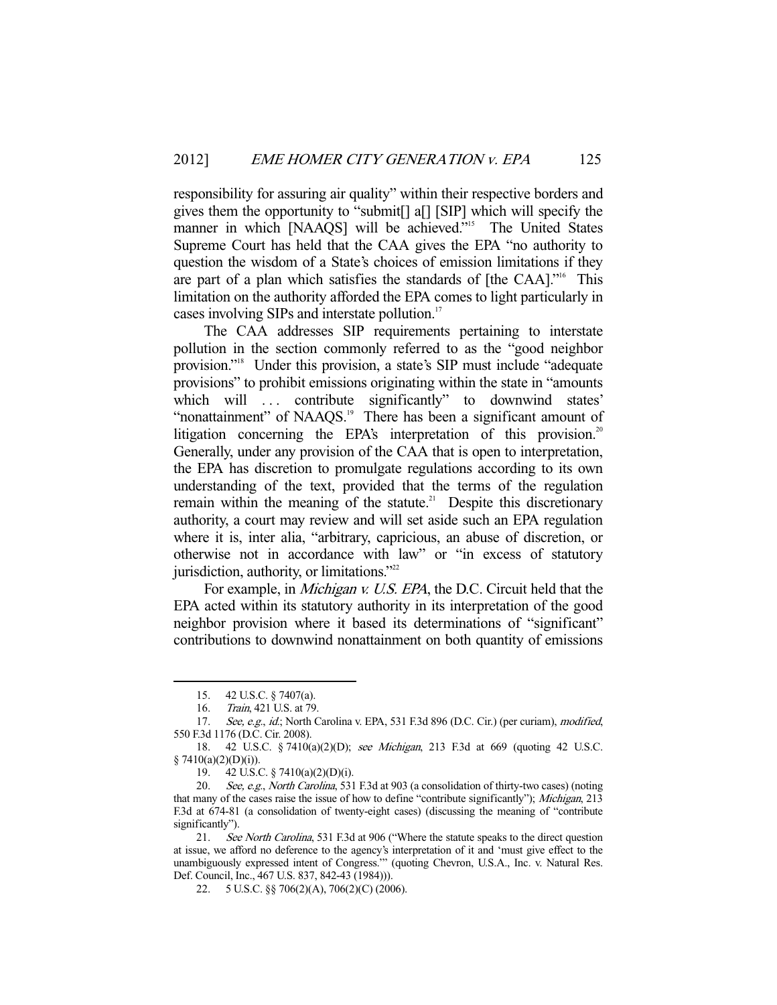responsibility for assuring air quality" within their respective borders and gives them the opportunity to "submit[] a[] [SIP] which will specify the manner in which [NAAQS] will be achieved."<sup>15</sup> The United States Supreme Court has held that the CAA gives the EPA "no authority to question the wisdom of a State's choices of emission limitations if they are part of a plan which satisfies the standards of [the CAA]."16 This limitation on the authority afforded the EPA comes to light particularly in cases involving SIPs and interstate pollution.<sup>17</sup>

 The CAA addresses SIP requirements pertaining to interstate pollution in the section commonly referred to as the "good neighbor provision."18 Under this provision, a state's SIP must include "adequate provisions" to prohibit emissions originating within the state in "amounts which will ... contribute significantly" to downwind states' "nonattainment" of NAAQS.<sup>19</sup> There has been a significant amount of litigation concerning the EPA's interpretation of this provision.<sup>20</sup> Generally, under any provision of the CAA that is open to interpretation, the EPA has discretion to promulgate regulations according to its own understanding of the text, provided that the terms of the regulation remain within the meaning of the statute.<sup>21</sup> Despite this discretionary authority, a court may review and will set aside such an EPA regulation where it is, inter alia, "arbitrary, capricious, an abuse of discretion, or otherwise not in accordance with law" or "in excess of statutory jurisdiction, authority, or limitations."<sup>22</sup>

For example, in *Michigan v. U.S. EPA*, the D.C. Circuit held that the EPA acted within its statutory authority in its interpretation of the good neighbor provision where it based its determinations of "significant" contributions to downwind nonattainment on both quantity of emissions

 <sup>15. 42</sup> U.S.C. § 7407(a).

 <sup>16.</sup> Train, 421 U.S. at 79.

<sup>17.</sup> See, e.g., id.; North Carolina v. EPA, 531 F.3d 896 (D.C. Cir.) (per curiam), modified, 550 F.3d 1176 (D.C. Cir. 2008).

 <sup>18. 42</sup> U.S.C. § 7410(a)(2)(D); see Michigan, 213 F.3d at 669 (quoting 42 U.S.C.  $§ 7410(a)(2)(D)(i)).$ 

 <sup>19. 42</sup> U.S.C. § 7410(a)(2)(D)(i).

<sup>20.</sup> See, e.g., North Carolina, 531 F.3d at 903 (a consolidation of thirty-two cases) (noting that many of the cases raise the issue of how to define "contribute significantly"); Michigan, 213 F.3d at 674-81 (a consolidation of twenty-eight cases) (discussing the meaning of "contribute significantly").

<sup>21.</sup> See North Carolina, 531 F.3d at 906 ("Where the statute speaks to the direct question at issue, we afford no deference to the agency's interpretation of it and 'must give effect to the unambiguously expressed intent of Congress.'" (quoting Chevron, U.S.A., Inc. v. Natural Res. Def. Council, Inc., 467 U.S. 837, 842-43 (1984))).

 <sup>22. 5</sup> U.S.C. §§ 706(2)(A), 706(2)(C) (2006).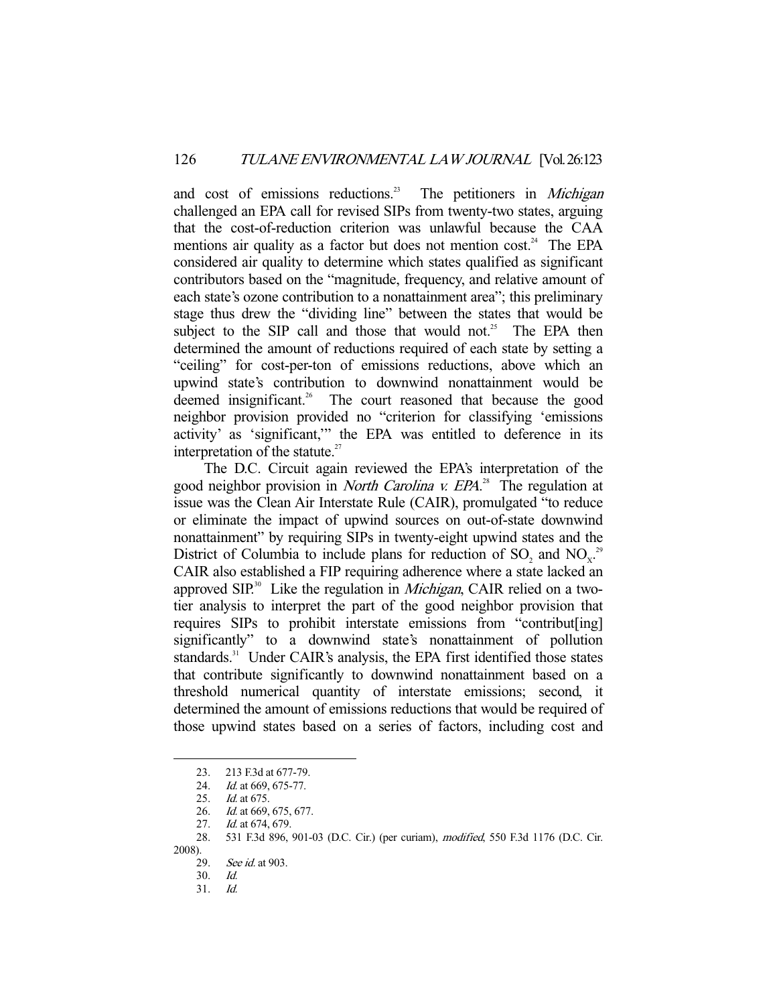and cost of emissions reductions.<sup>23</sup> The petitioners in *Michigan* challenged an EPA call for revised SIPs from twenty-two states, arguing that the cost-of-reduction criterion was unlawful because the CAA mentions air quality as a factor but does not mention cost.<sup>24</sup> The EPA considered air quality to determine which states qualified as significant contributors based on the "magnitude, frequency, and relative amount of each state's ozone contribution to a nonattainment area"; this preliminary stage thus drew the "dividing line" between the states that would be subject to the SIP call and those that would not.<sup>25</sup> The EPA then determined the amount of reductions required of each state by setting a "ceiling" for cost-per-ton of emissions reductions, above which an upwind state's contribution to downwind nonattainment would be deemed insignificant.<sup>26</sup> The court reasoned that because the good neighbor provision provided no "criterion for classifying 'emissions activity' as 'significant,'" the EPA was entitled to deference in its interpretation of the statute. $27$ 

 The D.C. Circuit again reviewed the EPA's interpretation of the good neighbor provision in *North Carolina v. EPA*.<sup>28</sup> The regulation at issue was the Clean Air Interstate Rule (CAIR), promulgated "to reduce or eliminate the impact of upwind sources on out-of-state downwind nonattainment" by requiring SIPs in twenty-eight upwind states and the District of Columbia to include plans for reduction of  $SO_2$  and  $NO<sub>x</sub><sup>2</sup>$ CAIR also established a FIP requiring adherence where a state lacked an approved SIP.<sup>30</sup> Like the regulation in *Michigan*, CAIR relied on a twotier analysis to interpret the part of the good neighbor provision that requires SIPs to prohibit interstate emissions from "contribut[ing] significantly" to a downwind state's nonattainment of pollution standards.<sup>31</sup> Under CAIR's analysis, the EPA first identified those states that contribute significantly to downwind nonattainment based on a threshold numerical quantity of interstate emissions; second, it determined the amount of emissions reductions that would be required of those upwind states based on a series of factors, including cost and

 <sup>23. 213</sup> F.3d at 677-79.

<sup>24.</sup> *Id.* at 669, 675-77.

 <sup>25.</sup> Id. at 675.

<sup>26.</sup> *Id.* at 669, 675, 677.

<sup>27.</sup> *Id.* at 674, 679.

 <sup>28. 531</sup> F.3d 896, 901-03 (D.C. Cir.) (per curiam), modified, 550 F.3d 1176 (D.C. Cir. 2008).

<sup>29.</sup> See id. at 903.

 <sup>30.</sup> Id.

 <sup>31.</sup> Id.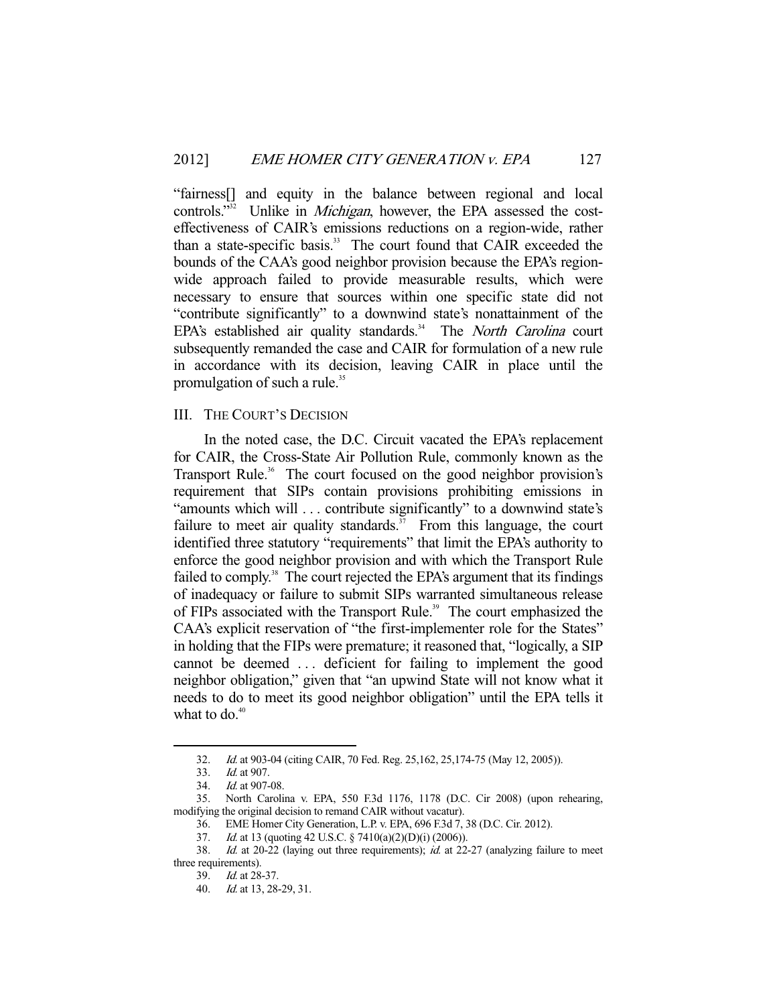"fairness[] and equity in the balance between regional and local controls."<sup>32</sup> Unlike in *Michigan*, however, the EPA assessed the costeffectiveness of CAIR's emissions reductions on a region-wide, rather than a state-specific basis.<sup>33</sup> The court found that CAIR exceeded the bounds of the CAA's good neighbor provision because the EPA's regionwide approach failed to provide measurable results, which were necessary to ensure that sources within one specific state did not "contribute significantly" to a downwind state's nonattainment of the EPA's established air quality standards.<sup>34</sup> The *North Carolina* court subsequently remanded the case and CAIR for formulation of a new rule in accordance with its decision, leaving CAIR in place until the promulgation of such a rule.<sup>35</sup>

## III. THE COURT'S DECISION

 In the noted case, the D.C. Circuit vacated the EPA's replacement for CAIR, the Cross-State Air Pollution Rule, commonly known as the Transport Rule.<sup>36</sup> The court focused on the good neighbor provision's requirement that SIPs contain provisions prohibiting emissions in "amounts which will ... contribute significantly" to a downwind state's failure to meet air quality standards.<sup>37</sup> From this language, the court identified three statutory "requirements" that limit the EPA's authority to enforce the good neighbor provision and with which the Transport Rule failed to comply.<sup>38</sup> The court rejected the EPA's argument that its findings of inadequacy or failure to submit SIPs warranted simultaneous release of FIPs associated with the Transport Rule.<sup>39</sup> The court emphasized the CAA's explicit reservation of "the first-implementer role for the States" in holding that the FIPs were premature; it reasoned that, "logically, a SIP cannot be deemed . . . deficient for failing to implement the good neighbor obligation," given that "an upwind State will not know what it needs to do to meet its good neighbor obligation" until the EPA tells it what to do. $40$ 

 <sup>32.</sup> Id. at 903-04 (citing CAIR, 70 Fed. Reg. 25,162, 25,174-75 (May 12, 2005)).

 <sup>33.</sup> Id. at 907.

<sup>34.</sup> *Id.* at 907-08.

 <sup>35.</sup> North Carolina v. EPA, 550 F.3d 1176, 1178 (D.C. Cir 2008) (upon rehearing, modifying the original decision to remand CAIR without vacatur).

 <sup>36.</sup> EME Homer City Generation, L.P. v. EPA, 696 F.3d 7, 38 (D.C. Cir. 2012).

 <sup>37.</sup> Id. at 13 (quoting 42 U.S.C. § 7410(a)(2)(D)(i) (2006)).

<sup>38.</sup> Id. at 20-22 (laying out three requirements); id. at 22-27 (analyzing failure to meet three requirements).

 <sup>39.</sup> Id. at 28-37.

 <sup>40.</sup> Id. at 13, 28-29, 31.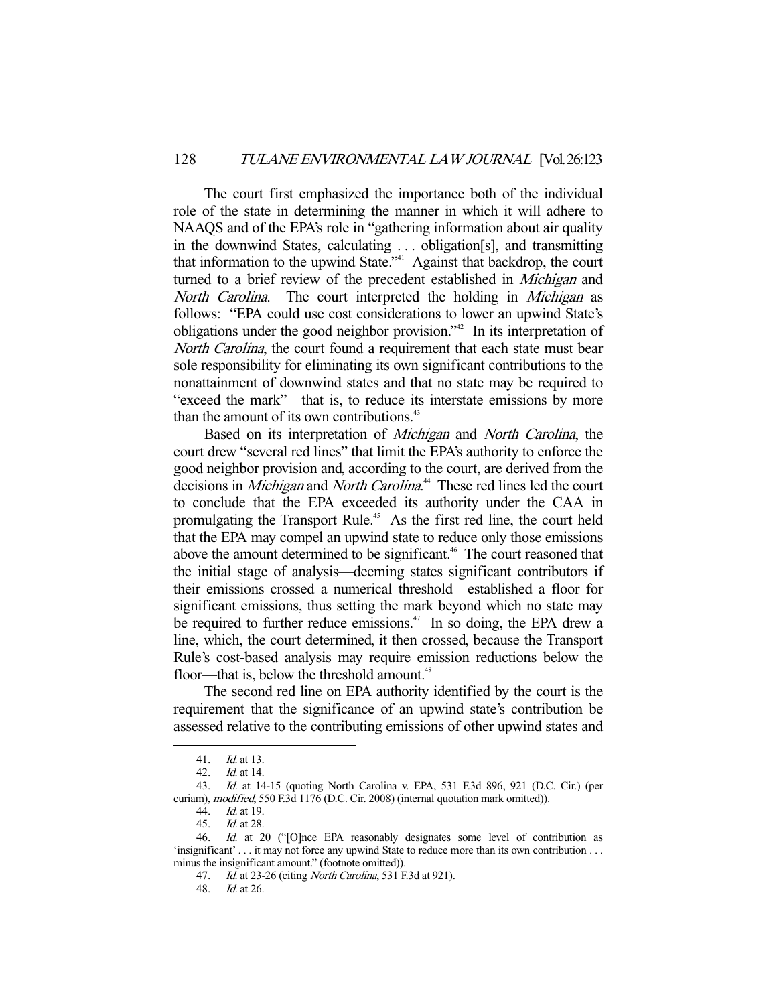The court first emphasized the importance both of the individual role of the state in determining the manner in which it will adhere to NAAQS and of the EPA's role in "gathering information about air quality in the downwind States, calculating . . . obligation[s], and transmitting that information to the upwind State."<sup>41</sup> Against that backdrop, the court turned to a brief review of the precedent established in Michigan and North Carolina. The court interpreted the holding in Michigan as follows: "EPA could use cost considerations to lower an upwind State's obligations under the good neighbor provision."42 In its interpretation of North Carolina, the court found a requirement that each state must bear sole responsibility for eliminating its own significant contributions to the nonattainment of downwind states and that no state may be required to "exceed the mark"—that is, to reduce its interstate emissions by more than the amount of its own contributions. $43$ 

Based on its interpretation of *Michigan* and *North Carolina*, the court drew "several red lines" that limit the EPA's authority to enforce the good neighbor provision and, according to the court, are derived from the decisions in *Michigan* and *North Carolina*.<sup>44</sup> These red lines led the court to conclude that the EPA exceeded its authority under the CAA in promulgating the Transport Rule.<sup>45</sup> As the first red line, the court held that the EPA may compel an upwind state to reduce only those emissions above the amount determined to be significant.<sup>46</sup> The court reasoned that the initial stage of analysis—deeming states significant contributors if their emissions crossed a numerical threshold—established a floor for significant emissions, thus setting the mark beyond which no state may be required to further reduce emissions.<sup>47</sup> In so doing, the EPA drew a line, which, the court determined, it then crossed, because the Transport Rule's cost-based analysis may require emission reductions below the floor—that is, below the threshold amount.<sup>48</sup>

 The second red line on EPA authority identified by the court is the requirement that the significance of an upwind state's contribution be assessed relative to the contributing emissions of other upwind states and

 <sup>41.</sup> Id. at 13.

 <sup>42.</sup> Id. at 14.

 <sup>43.</sup> Id. at 14-15 (quoting North Carolina v. EPA, 531 F.3d 896, 921 (D.C. Cir.) (per curiam), modified, 550 F.3d 1176 (D.C. Cir. 2008) (internal quotation mark omitted)).

 <sup>44.</sup> Id. at 19.

 <sup>45.</sup> Id. at 28.

 <sup>46.</sup> Id. at 20 ("[O]nce EPA reasonably designates some level of contribution as 'insignificant' . . . it may not force any upwind State to reduce more than its own contribution . . . minus the insignificant amount." (footnote omitted)).

<sup>47.</sup> Id. at 23-26 (citing North Carolina, 531 F.3d at 921).

 <sup>48.</sup> Id. at 26.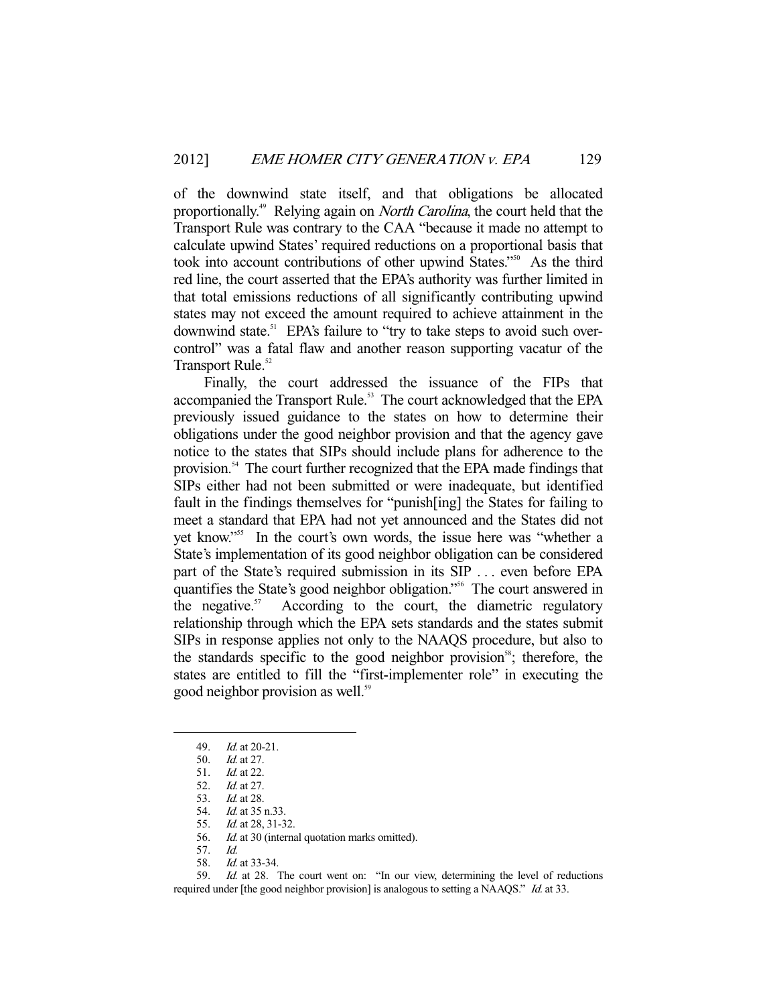of the downwind state itself, and that obligations be allocated proportionally.<sup>49</sup> Relying again on *North Carolina*, the court held that the Transport Rule was contrary to the CAA "because it made no attempt to calculate upwind States' required reductions on a proportional basis that took into account contributions of other upwind States."50 As the third red line, the court asserted that the EPA's authority was further limited in that total emissions reductions of all significantly contributing upwind states may not exceed the amount required to achieve attainment in the downwind state.<sup>51</sup> EPA's failure to "try to take steps to avoid such overcontrol" was a fatal flaw and another reason supporting vacatur of the Transport Rule.<sup>52</sup>

 Finally, the court addressed the issuance of the FIPs that accompanied the Transport Rule.<sup>53</sup> The court acknowledged that the EPA previously issued guidance to the states on how to determine their obligations under the good neighbor provision and that the agency gave notice to the states that SIPs should include plans for adherence to the provision.54 The court further recognized that the EPA made findings that SIPs either had not been submitted or were inadequate, but identified fault in the findings themselves for "punish[ing] the States for failing to meet a standard that EPA had not yet announced and the States did not yet know."55 In the court's own words, the issue here was "whether a State's implementation of its good neighbor obligation can be considered part of the State's required submission in its SIP . . . even before EPA quantifies the State's good neighbor obligation."<sup>56</sup> The court answered in the negative. $57$  According to the court, the diametric regulatory relationship through which the EPA sets standards and the states submit SIPs in response applies not only to the NAAQS procedure, but also to the standards specific to the good neighbor provision<sup>58</sup>; therefore, the states are entitled to fill the "first-implementer role" in executing the good neighbor provision as well.<sup>59</sup>

-

 59. Id. at 28. The court went on: "In our view, determining the level of reductions required under [the good neighbor provision] is analogous to setting a NAAQS." Id. at 33.

 <sup>49.</sup> Id. at 20-21.

 <sup>50.</sup> Id. at 27.

 <sup>51.</sup> Id. at 22.

 <sup>52.</sup> Id. at 27.

<sup>53.</sup> *Id.* at 28.<br>54. *Id.* at 35

Id. at 35 n.33.

 <sup>55.</sup> Id. at 28, 31-32.

<sup>56.</sup> Id. at 30 (internal quotation marks omitted).

 <sup>57.</sup> Id.

 <sup>58.</sup> Id. at 33-34.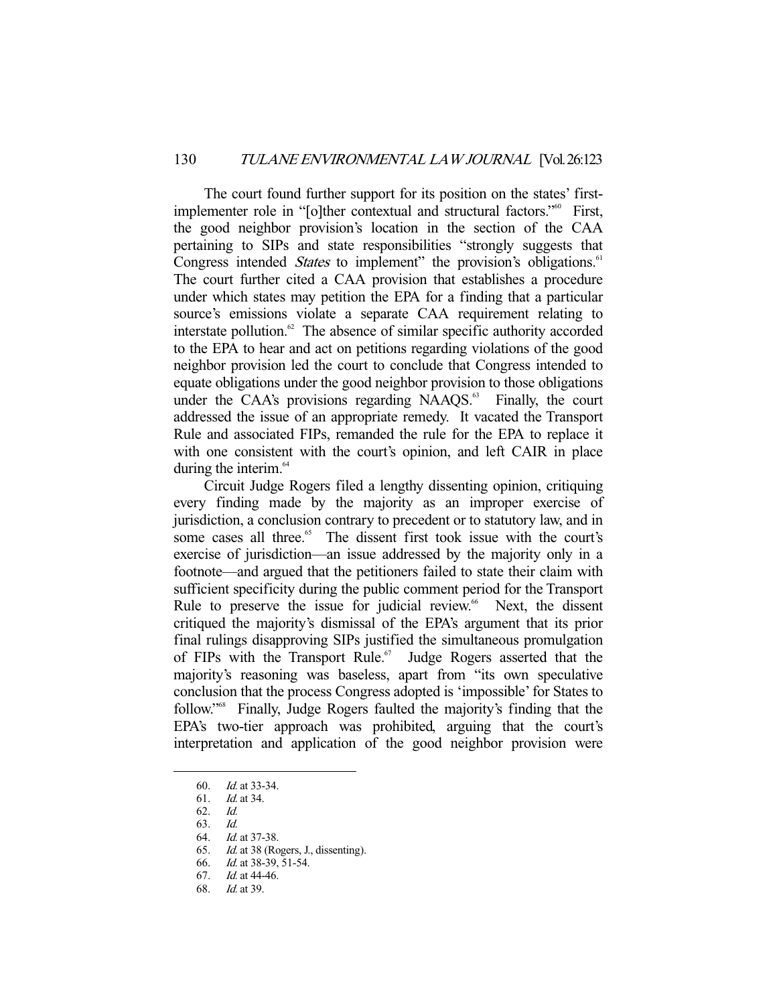The court found further support for its position on the states' firstimplementer role in "[o]ther contextual and structural factors."<sup>60</sup> First, the good neighbor provision's location in the section of the CAA pertaining to SIPs and state responsibilities "strongly suggests that Congress intended *States* to implement" the provision's obligations.<sup>61</sup> The court further cited a CAA provision that establishes a procedure under which states may petition the EPA for a finding that a particular source's emissions violate a separate CAA requirement relating to interstate pollution. $62$  The absence of similar specific authority accorded to the EPA to hear and act on petitions regarding violations of the good neighbor provision led the court to conclude that Congress intended to equate obligations under the good neighbor provision to those obligations under the CAA's provisions regarding  $NAAOS<sup>63</sup>$ . Finally, the court addressed the issue of an appropriate remedy. It vacated the Transport Rule and associated FIPs, remanded the rule for the EPA to replace it with one consistent with the court's opinion, and left CAIR in place during the interim.<sup>64</sup>

 Circuit Judge Rogers filed a lengthy dissenting opinion, critiquing every finding made by the majority as an improper exercise of jurisdiction, a conclusion contrary to precedent or to statutory law, and in some cases all three.<sup>65</sup> The dissent first took issue with the court's exercise of jurisdiction—an issue addressed by the majority only in a footnote—and argued that the petitioners failed to state their claim with sufficient specificity during the public comment period for the Transport Rule to preserve the issue for judicial review.<sup>66</sup> Next, the dissent critiqued the majority's dismissal of the EPA's argument that its prior final rulings disapproving SIPs justified the simultaneous promulgation of FIPs with the Transport Rule.<sup>67</sup> Judge Rogers asserted that the majority's reasoning was baseless, apart from "its own speculative conclusion that the process Congress adopted is 'impossible' for States to follow."68 Finally, Judge Rogers faulted the majority's finding that the EPA's two-tier approach was prohibited, arguing that the court's interpretation and application of the good neighbor provision were

<sup>60.</sup> *Id.* at 33-34.

 <sup>61.</sup> Id. at 34.

 <sup>62.</sup> Id.

 <sup>63.</sup> Id.

 <sup>64.</sup> Id. at 37-38.

 <sup>65.</sup> Id. at 38 (Rogers, J., dissenting).

<sup>66.</sup> *Id.* at 38-39, 51-54.

 <sup>67.</sup> Id. at 44-46.

 <sup>68.</sup> Id. at 39.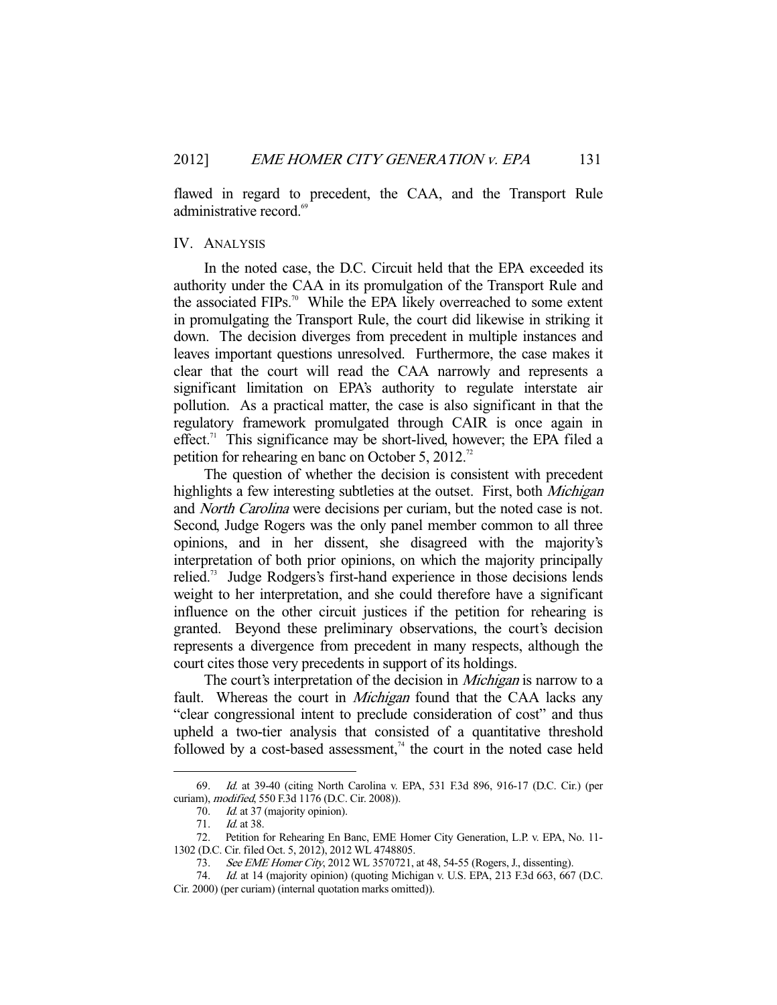flawed in regard to precedent, the CAA, and the Transport Rule administrative record.<sup>6</sup>

## IV. ANALYSIS

 In the noted case, the D.C. Circuit held that the EPA exceeded its authority under the CAA in its promulgation of the Transport Rule and the associated FIPs.<sup>70</sup> While the EPA likely overreached to some extent in promulgating the Transport Rule, the court did likewise in striking it down. The decision diverges from precedent in multiple instances and leaves important questions unresolved. Furthermore, the case makes it clear that the court will read the CAA narrowly and represents a significant limitation on EPA's authority to regulate interstate air pollution. As a practical matter, the case is also significant in that the regulatory framework promulgated through CAIR is once again in effect.<sup>71</sup> This significance may be short-lived, however; the EPA filed a petition for rehearing en banc on October 5,  $2012$ .<sup>72</sup>

 The question of whether the decision is consistent with precedent highlights a few interesting subtleties at the outset. First, both *Michigan* and North Carolina were decisions per curiam, but the noted case is not. Second, Judge Rogers was the only panel member common to all three opinions, and in her dissent, she disagreed with the majority's interpretation of both prior opinions, on which the majority principally relied.<sup>73</sup> Judge Rodgers's first-hand experience in those decisions lends weight to her interpretation, and she could therefore have a significant influence on the other circuit justices if the petition for rehearing is granted. Beyond these preliminary observations, the court's decision represents a divergence from precedent in many respects, although the court cites those very precedents in support of its holdings.

The court's interpretation of the decision in *Michigan* is narrow to a fault. Whereas the court in *Michigan* found that the CAA lacks any "clear congressional intent to preclude consideration of cost" and thus upheld a two-tier analysis that consisted of a quantitative threshold followed by a cost-based assessment,<sup> $74$ </sup> the court in the noted case held

 <sup>69.</sup> Id. at 39-40 (citing North Carolina v. EPA, 531 F.3d 896, 916-17 (D.C. Cir.) (per curiam), modified, 550 F.3d 1176 (D.C. Cir. 2008)).

<sup>70.</sup> *Id.* at 37 (majority opinion).

 <sup>71.</sup> Id. at 38.

 <sup>72.</sup> Petition for Rehearing En Banc, EME Homer City Generation, L.P. v. EPA, No. 11- 1302 (D.C. Cir. filed Oct. 5, 2012), 2012 WL 4748805.

<sup>73.</sup> See EME Homer City, 2012 WL 3570721, at 48, 54-55 (Rogers, J., dissenting).

<sup>74.</sup> Id. at 14 (majority opinion) (quoting Michigan v. U.S. EPA, 213 F.3d 663, 667 (D.C. Cir. 2000) (per curiam) (internal quotation marks omitted)).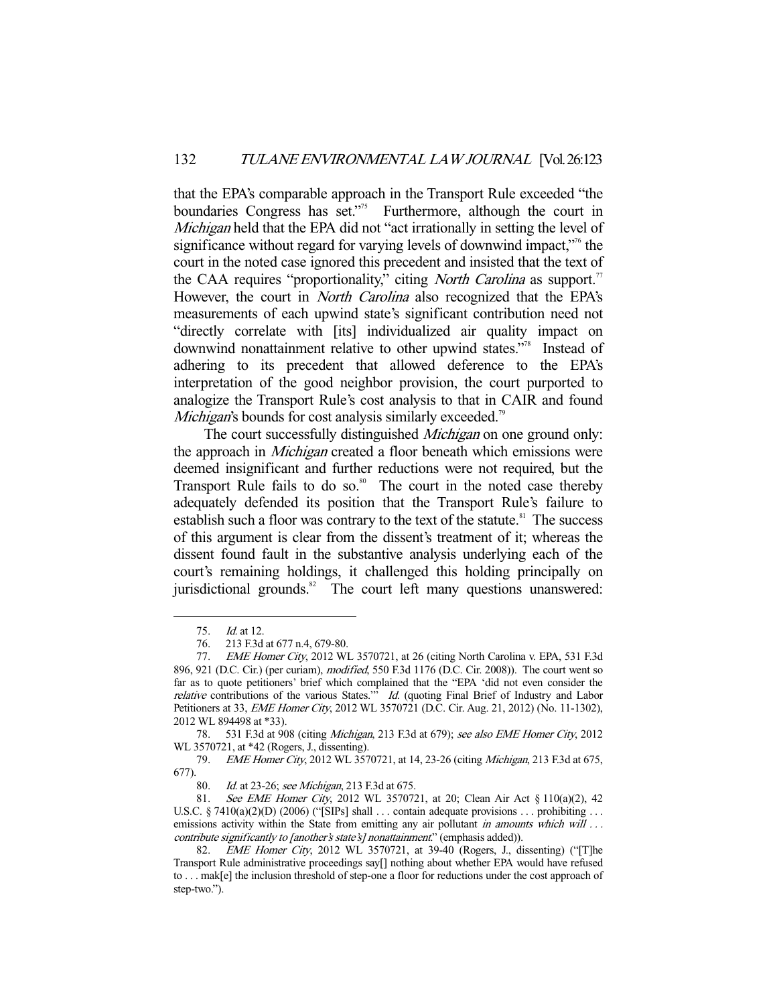that the EPA's comparable approach in the Transport Rule exceeded "the boundaries Congress has set."<sup>75</sup> Furthermore, although the court in Michigan held that the EPA did not "act irrationally in setting the level of significance without regard for varying levels of downwind impact,<sup>"76</sup> the court in the noted case ignored this precedent and insisted that the text of the CAA requires "proportionality," citing *North Carolina* as support.<sup>77</sup> However, the court in *North Carolina* also recognized that the EPA's measurements of each upwind state's significant contribution need not "directly correlate with [its] individualized air quality impact on downwind nonattainment relative to other upwind states."<sup>78</sup> Instead of adhering to its precedent that allowed deference to the EPA's interpretation of the good neighbor provision, the court purported to analogize the Transport Rule's cost analysis to that in CAIR and found *Michigan's* bounds for cost analysis similarly exceeded.<sup>79</sup>

The court successfully distinguished *Michigan* on one ground only: the approach in *Michigan* created a floor beneath which emissions were deemed insignificant and further reductions were not required, but the Transport Rule fails to do so.<sup>80</sup> The court in the noted case thereby adequately defended its position that the Transport Rule's failure to establish such a floor was contrary to the text of the statute. $81$  The success of this argument is clear from the dissent's treatment of it; whereas the dissent found fault in the substantive analysis underlying each of the court's remaining holdings, it challenged this holding principally on jurisdictional grounds.<sup>82</sup> The court left many questions unanswered:

 <sup>75.</sup> Id. at 12.

 <sup>76. 213</sup> F.3d at 677 n.4, 679-80.

<sup>77.</sup> *EME Homer City*, 2012 WL 3570721, at 26 (citing North Carolina v. EPA, 531 F.3d) 896, 921 (D.C. Cir.) (per curiam), modified, 550 F.3d 1176 (D.C. Cir. 2008)). The court went so far as to quote petitioners' brief which complained that the "EPA 'did not even consider the relative contributions of the various States." $id$ . (quoting Final Brief of Industry and Labor Petitioners at 33, *EME Homer City*, 2012 WL 3570721 (D.C. Cir. Aug. 21, 2012) (No. 11-1302), 2012 WL 894498 at \*33).

 <sup>78. 531</sup> F.3d at 908 (citing Michigan, 213 F.3d at 679); see also EME Homer City, 2012 WL 3570721, at \*42 (Rogers, J., dissenting).

 <sup>79.</sup> EME Homer City, 2012 WL 3570721, at 14, 23-26 (citing Michigan, 213 F.3d at 675,  $677)$ .<br>80

Id. at 23-26; see Michigan, 213 F.3d at 675.

 <sup>81.</sup> See EME Homer City, 2012 WL 3570721, at 20; Clean Air Act § 110(a)(2), 42 U.S.C. § 7410(a)(2)(D) (2006) ("[SIPs] shall . . . contain adequate provisions . . . prohibiting . . . emissions activity within the State from emitting any air pollutant in amounts which will ... contribute significantly to [another's state's] nonattainment." (emphasis added)).

<sup>82.</sup> *EME Homer City*, 2012 WL 3570721, at 39-40 (Rogers, J., dissenting) ("[T]he Transport Rule administrative proceedings say[] nothing about whether EPA would have refused to . . . mak[e] the inclusion threshold of step-one a floor for reductions under the cost approach of step-two.").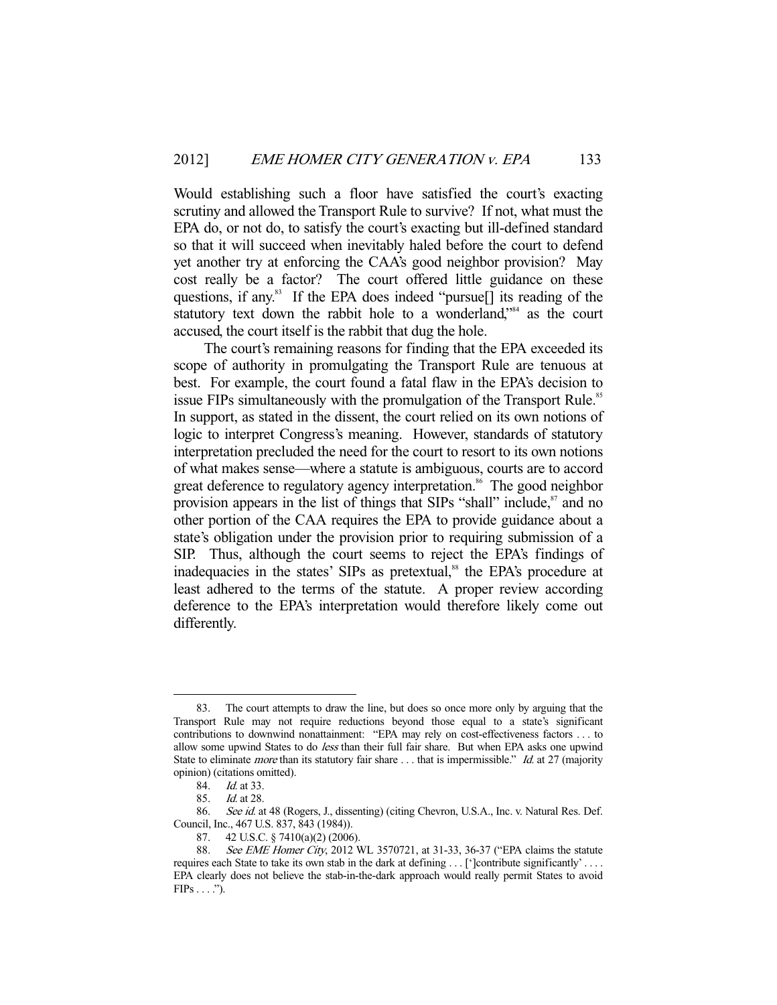Would establishing such a floor have satisfied the court's exacting scrutiny and allowed the Transport Rule to survive? If not, what must the EPA do, or not do, to satisfy the court's exacting but ill-defined standard so that it will succeed when inevitably haled before the court to defend yet another try at enforcing the CAA's good neighbor provision? May cost really be a factor? The court offered little guidance on these questions, if any.<sup>83</sup> If the EPA does indeed "pursue<sup>[]</sup> its reading of the statutory text down the rabbit hole to a wonderland,"<sup>84</sup> as the court accused, the court itself is the rabbit that dug the hole.

 The court's remaining reasons for finding that the EPA exceeded its scope of authority in promulgating the Transport Rule are tenuous at best. For example, the court found a fatal flaw in the EPA's decision to issue FIPs simultaneously with the promulgation of the Transport Rule.<sup>85</sup> In support, as stated in the dissent, the court relied on its own notions of logic to interpret Congress's meaning. However, standards of statutory interpretation precluded the need for the court to resort to its own notions of what makes sense—where a statute is ambiguous, courts are to accord great deference to regulatory agency interpretation.<sup>86</sup> The good neighbor provision appears in the list of things that SIPs "shall" include,<sup>87</sup> and no other portion of the CAA requires the EPA to provide guidance about a state's obligation under the provision prior to requiring submission of a SIP. Thus, although the court seems to reject the EPA's findings of inadequacies in the states' SIPs as pretextual,<sup>88</sup> the EPA's procedure at least adhered to the terms of the statute. A proper review according deference to the EPA's interpretation would therefore likely come out differently.

 <sup>83.</sup> The court attempts to draw the line, but does so once more only by arguing that the Transport Rule may not require reductions beyond those equal to a state's significant contributions to downwind nonattainment: "EPA may rely on cost-effectiveness factors . . . to allow some upwind States to do *less* than their full fair share. But when EPA asks one upwind State to eliminate *more* than its statutory fair share ... that is impermissible." *Id.* at 27 (majority opinion) (citations omitted).

 <sup>84.</sup> Id. at 33.

 <sup>85.</sup> Id. at 28.

<sup>86.</sup> See id. at 48 (Rogers, J., dissenting) (citing Chevron, U.S.A., Inc. v. Natural Res. Def. Council, Inc., 467 U.S. 837, 843 (1984)).

 <sup>87. 42</sup> U.S.C. § 7410(a)(2) (2006).

See EME Homer City, 2012 WL 3570721, at 31-33, 36-37 ("EPA claims the statute requires each State to take its own stab in the dark at defining . . . [']contribute significantly' . . . . EPA clearly does not believe the stab-in-the-dark approach would really permit States to avoid  $FIPs \ldots$ .").